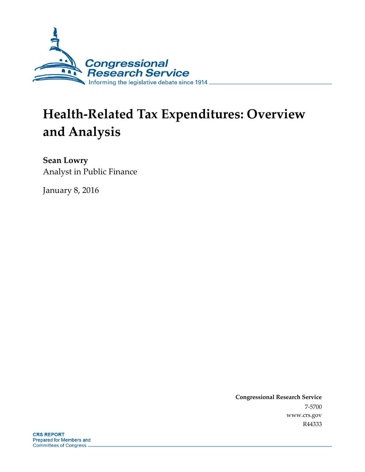

# **Health-Related Tax Expenditures: Overview and Analysis**

**Sean Lowry** Analyst in Public Finance

January 8, 2016

**Congressional Research Service** 7-5700 www.crs.gov R44333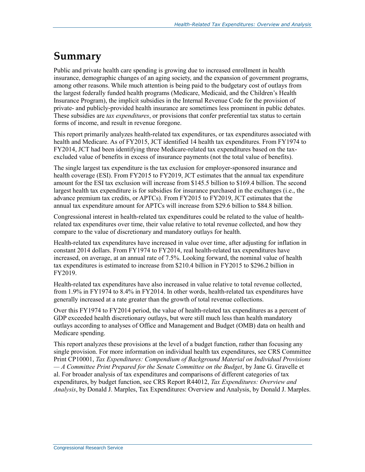## **Summary**

Public and private health care spending is growing due to increased enrollment in health insurance, demographic changes of an aging society, and the expansion of government programs, among other reasons. While much attention is being paid to the budgetary cost of outlays from the largest federally funded health programs (Medicare, Medicaid, and the Children's Health Insurance Program), the implicit subsidies in the Internal Revenue Code for the provision of private- and publicly-provided health insurance are sometimes less prominent in public debates. These subsidies are *tax expenditures*, or provisions that confer preferential tax status to certain forms of income, and result in revenue foregone.

This report primarily analyzes health-related tax expenditures, or tax expenditures associated with health and Medicare. As of FY2015, JCT identified 14 health tax expenditures. From FY1974 to FY2014, JCT had been identifying three Medicare-related tax expenditures based on the taxexcluded value of benefits in excess of insurance payments (not the total value of benefits).

The single largest tax expenditure is the tax exclusion for employer-sponsored insurance and health coverage (ESI). From FY2015 to FY2019, JCT estimates that the annual tax expenditure amount for the ESI tax exclusion will increase from \$145.5 billion to \$169.4 billion. The second largest health tax expenditure is for subsidies for insurance purchased in the exchanges (i.e., the advance premium tax credits, or APTCs). From FY2015 to FY2019, JCT estimates that the annual tax expenditure amount for APTCs will increase from \$29.6 billion to \$84.8 billion.

Congressional interest in health-related tax expenditures could be related to the value of healthrelated tax expenditures over time, their value relative to total revenue collected, and how they compare to the value of discretionary and mandatory outlays for health.

Health-related tax expenditures have increased in value over time, after adjusting for inflation in constant 2014 dollars. From FY1974 to FY2014, real health-related tax expenditures have increased, on average, at an annual rate of 7.5%. Looking forward, the nominal value of health tax expenditures is estimated to increase from \$210.4 billion in FY2015 to \$296.2 billion in FY2019.

Health-related tax expenditures have also increased in value relative to total revenue collected, from 1.9% in FY1974 to 8.4% in FY2014. In other words, health-related tax expenditures have generally increased at a rate greater than the growth of total revenue collections.

Over this FY1974 to FY2014 period, the value of health-related tax expenditures as a percent of GDP exceeded health discretionary outlays, but were still much less than health mandatory outlays according to analyses of Office and Management and Budget (OMB) data on health and Medicare spending.

This report analyzes these provisions at the level of a budget function, rather than focusing any single provision. For more information on individual health tax expenditures, see CRS Committee Print CP10001, *Tax Expenditures: Compendium of Background Material on Individual Provisions — A Committee Print Prepared for the Senate Committee on the Budget*, by Jane G. Gravelle et al. For broader analysis of tax expenditures and comparisons of different categories of tax expenditures, by budget function, see CRS Report R44012, *Tax Expenditures: Overview and Analysis*, by Donald J. Marples, Tax Expenditures: Overview and Analysis, by Donald J. Marples.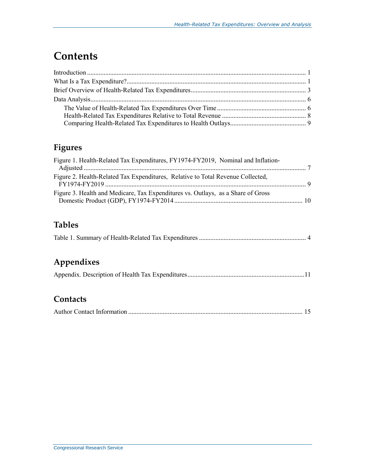## **Contents**

### **Figures**

| Figure 1. Health-Related Tax Expenditures, FY1974-FY2019, Nominal and Inflation- |  |
|----------------------------------------------------------------------------------|--|
| Figure 2. Health-Related Tax Expenditures, Relative to Total Revenue Collected,  |  |
| Figure 3. Health and Medicare, Tax Expenditures vs. Outlays, as a Share of Gross |  |

### **Tables**

|--|--|

### **Appendixes**

### **Contacts**

|--|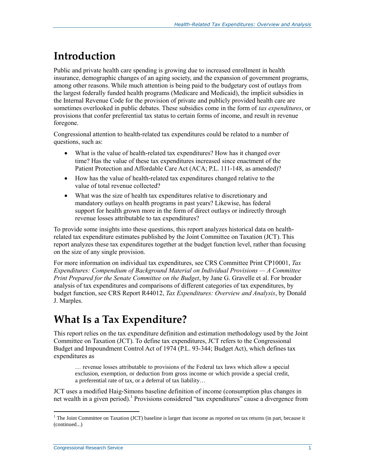## **Introduction**

Public and private health care spending is growing due to increased enrollment in health insurance, demographic changes of an aging society, and the expansion of government programs, among other reasons. While much attention is being paid to the budgetary cost of outlays from the largest federally funded health programs (Medicare and Medicaid), the implicit subsidies in the Internal Revenue Code for the provision of private and publicly provided health care are sometimes overlooked in public debates. These subsidies come in the form of *tax expenditures*, or provisions that confer preferential tax status to certain forms of income, and result in revenue foregone.

Congressional attention to health-related tax expenditures could be related to a number of questions, such as:

- What is the value of health-related tax expenditures? How has it changed over time? Has the value of these tax expenditures increased since enactment of the Patient Protection and Affordable Care Act (ACA; P.L. 111-148, as amended)?
- How has the value of health-related tax expenditures changed relative to the value of total revenue collected?
- What was the size of health tax expenditures relative to discretionary and mandatory outlays on health programs in past years? Likewise, has federal support for health grown more in the form of direct outlays or indirectly through revenue losses attributable to tax expenditures?

To provide some insights into these questions, this report analyzes historical data on healthrelated tax expenditure estimates published by the Joint Committee on Taxation (JCT). This report analyzes these tax expenditures together at the budget function level, rather than focusing on the size of any single provision.

For more information on individual tax expenditures, see CRS Committee Print CP10001, *Tax Expenditures: Compendium of Background Material on Individual Provisions — A Committee Print Prepared for the Senate Committee on the Budget*, by Jane G. Gravelle et al. For broader analysis of tax expenditures and comparisons of different categories of tax expenditures, by budget function, see CRS Report R44012, *Tax Expenditures: Overview and Analysis*, by Donald J. Marples.

## **What Is a Tax Expenditure?**

This report relies on the tax expenditure definition and estimation methodology used by the Joint Committee on Taxation (JCT). To define tax expenditures, JCT refers to the Congressional Budget and Impoundment Control Act of 1974 (P.L. 93-344; Budget Act), which defines tax expenditures as

… revenue losses attributable to provisions of the Federal tax laws which allow a special exclusion, exemption, or deduction from gross income or which provide a special credit, a preferential rate of tax, or a deferral of tax liability…

JCT uses a modified Haig-Simons baseline definition of income (consumption plus changes in net wealth in a given period).<sup>1</sup> Provisions considered "tax expenditures" cause a divergence from

 $1$  The Joint Committee on Taxation (JCT) baseline is larger than income as reported on tax returns (in part, because it (continued...)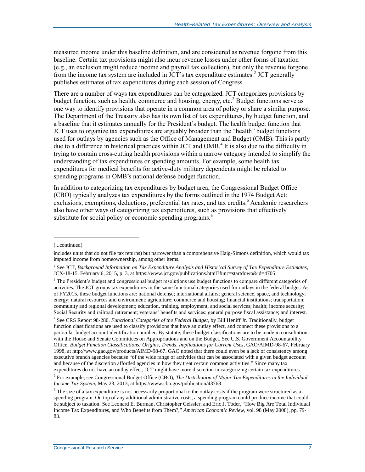measured income under this baseline definition, and are considered as revenue forgone from this baseline. Certain tax provisions might also incur revenue losses under other forms of taxation (e.g., an exclusion might reduce income and payroll tax collection), but only the revenue forgone from the income tax system are included in  $\overline{JCT}$ 's tax expenditure estimates.<sup>2</sup> JCT generally publishes estimates of tax expenditures during each session of Congress.

There are a number of ways tax expenditures can be categorized. JCT categorizes provisions by budget function, such as health, commerce and housing, energy, etc.<sup>3</sup> Budget functions serve as one way to identify provisions that operate in a common area of policy or share a similar purpose. The Department of the Treasury also has its own list of tax expenditures, by budget function, and a baseline that it estimates annually for the President's budget. The health budget function that JCT uses to organize tax expenditures are arguably broader than the "health" budget functions used for outlays by agencies such as the Office of Management and Budget (OMB). This is partly due to a difference in historical practices within JCT and OMB. 4 It is also due to the difficulty in trying to contain cross-cutting health provisions within a narrow category intended to simplify the understanding of tax expenditures or spending amounts. For example, some health tax expenditures for medical benefits for active-duty military dependents might be related to spending programs in OMB's national defense budget function.

In addition to categorizing tax expenditures by budget area, the Congressional Budget Office (CBO) typically analyzes tax expenditures by the forms outlined in the 1974 Budget Act: exclusions, exemptions, deductions, preferential tax rates, and tax credits.<sup>5</sup> Academic researchers also have other ways of categorizing tax expenditures, such as provisions that effectively substitute for social policy or economic spending programs.<sup>6</sup>

 $\overline{a}$ 

4 See CRS Report 98-280, *Functional Categories of the Federal Budget*, by Bill Heniff Jr. Traditionally, budget function classifications are used to classify provisions that have an outlay effect, and connect these provisions to a particular budget account identification number. By statute, these budget classifications are to be made in consultation with the House and Senate Committees on Appropriations and on the Budget. See U.S. Government Accountability Office, *Budget Function Classifications: Origins, Trends, Implications for Current Uses*, GAO/AIMD-98-67, February 1998, at http://www.gao.gov/products/AIMD-98-67. GAO noted that there could even be a lack of consistency among executive branch agencies because "of the wide range of activities that can be associated with a given budget account and because of the discretion afforded agencies in how they treat certain common activities." Since many tax expenditures do not have an outlay effect, JCT might have more discretion in categorizing certain tax expenditures.

<sup>(...</sup>continued)

includes units that do not file tax returns) but narrower than a comprehensive Haig-Simons definition, which would tax imputed income from homeownership, among other items.

<sup>2</sup> See JCT, *Background Information on Tax Expenditure Analysis and Historical Survey of Tax Expenditure Estimates*, JCX-18-15, February 6, 2015, p. 3, at https://www.jct.gov/publications.html?func=startdown&id=4705.

<sup>&</sup>lt;sup>3</sup> The President's budget and congressional budget resolutions use budget functions to compare different categories of activities. The JCT groups tax expenditures in the same functional categories used for outlays in the federal budget. As of FY2015, these budget functions are: national defense; international affairs; general science, space, and technology; energy; natural resources and environment; agriculture; commerce and housing; financial institutions; transportation; community and regional development; education, training, employment, and social services; health; income security; Social Security and railroad retirement; veterans' benefits and services; general purpose fiscal assistance; and interest.

<sup>5</sup> For example, see Congressional Budget Office (CBO), *The Distribution of Major Tax Expenditures in the Individual Income Tax System*, May 23, 2013, at https://www.cbo.gov/publication/43768.

 $<sup>6</sup>$  The size of a tax expenditure is not necessarily proportional to the outlay costs if the program were structured as a</sup> spending program. On top of any additional administrative costs, a spending program could produce income that could be subject to taxation. See Leonard E. Burman, Christopher Geissler, and Eric J. Toder, "How Big Are Total Individual Income Tax Expenditures, and Who Benefits from Them?," *American Economic Review*, vol. 98 (May 2008), pp. 79- 83.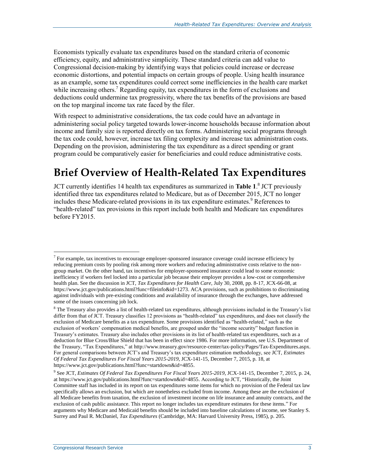Economists typically evaluate tax expenditures based on the standard criteria of economic efficiency, equity, and administrative simplicity. These standard criteria can add value to Congressional decision-making by identifying ways that policies could increase or decrease economic distortions, and potential impacts on certain groups of people. Using health insurance as an example, some tax expenditures could correct some inefficiencies in the health care market while increasing others.<sup>7</sup> Regarding equity, tax expenditures in the form of exclusions and deductions could undermine tax progressivity, where the tax benefits of the provisions are based on the top marginal income tax rate faced by the filer.

With respect to administrative considerations, the tax code could have an advantage in administering social policy targeted towards lower-income households because information about income and family size is reported directly on tax forms. Administering social programs through the tax code could, however, increase tax filing complexity and increase tax administration costs. Depending on the provision, administering the tax expenditure as a direct spending or grant program could be comparatively easier for beneficiaries and could reduce administrative costs.

## <span id="page-5-0"></span>**Brief Overview of Health-Related Tax Expenditures**

JCT currently identifies 14 health tax expenditures as summarized in **[Table 1](#page-6-0)**. 8 JCT previously identified three tax expenditures related to Medicare, but as of December 2015, JCT no longer includes these Medicare-related provisions in its tax expenditure estimates.<sup>9</sup> References to "health-related" tax provisions in this report include both health and Medicare tax expenditures before FY2015.

 $\overline{a}$  $<sup>7</sup>$  For example, tax incentives to encourage employer-sponsored insurance coverage could increase efficiency by</sup> reducing premium costs by pooling risk among more workers and reducing administrative costs relative to the nongroup market. On the other hand, tax incentives for employer-sponsored insurance could lead to some economic inefficiency if workers feel locked into a particular job because their employer provides a low-cost or comprehensive health plan. See the discussion in JCT, *Tax Expenditures for Health Care*, July 30, 2008, pp. 8-17, JCX-66-08, at https://www.jct.gov/publications.html?func=fileinfo&id=1273. ACA provisions, such as prohibitions to discriminating against individuals with pre-existing conditions and availability of insurance through the exchanges, have addressed some of the issues concerning job lock.

<sup>&</sup>lt;sup>8</sup> The Treasury also provides a list of health-related tax expenditures, although provisions included in the Treasury's list differ from that of JCT. Treasury classifies 12 provisions as "health-related" tax expenditures, and does not classify the exclusion of Medicare benefits as a tax expenditure. Some provisions identified as "health-related," such as the exclusion of workers' compensation medical benefits, are grouped under the "income security" budget function in Treasury's estimates. Treasury also includes other provisions in its list of health-related tax expenditures, such as a deduction for Blue Cross/Blue Shield that has been in effect since 1986. For more information, see U.S. Department of the Treasury, "Tax Expenditures," at http://www.treasury.gov/resource-center/tax-policy/Pages/Tax-Expenditures.aspx. For general comparisons between JCT's and Treasury's tax expenditure estimation methodology, see JCT, *Estimates Of Federal Tax Expenditures For Fiscal Years 2015-2019*, JCX-141-15, December 7, 2015, p. 18, at https://www.jct.gov/publications.html?func=startdown&id=4855.

<sup>9</sup> See JCT, *Estimates Of Federal Tax Expenditures For Fiscal Years 2015-2019*, JCX-141-15, December 7, 2015, p. 24, at https://www.jct.gov/publications.html?func=startdown&id=4855. According to JCT, "Historically, the Joint Committee staff has included in its report on tax expenditures some items for which no provision of the Federal tax law specifically allows an exclusion, but which are nonetheless excluded from income. Among these are the exclusion of all Medicare benefits from taxation, the exclusion of investment income on life insurance and annuity contracts, and the exclusion of cash public assistance. This report no longer includes tax expenditure estimates for these items." For arguments why Medicare and Medicaid benefits should be included into baseline calculations of income, see Stanley S. Surrey and Paul R. McDaniel, *Tax Expenditures* (Cambridge, MA: Harvard University Press, 1985), p. 205.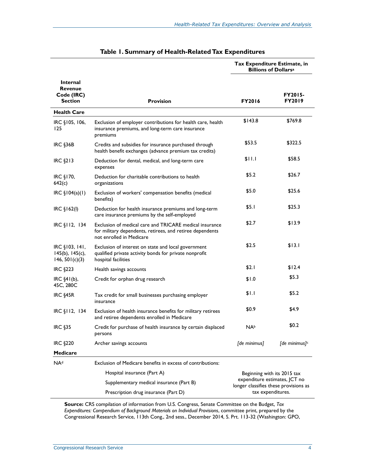<span id="page-6-0"></span>

|                                                                   |                                                                                                                                                  | Tax Expenditure Estimate, in<br><b>Billions of Dollarsa</b>                                                                |                                 |
|-------------------------------------------------------------------|--------------------------------------------------------------------------------------------------------------------------------------------------|----------------------------------------------------------------------------------------------------------------------------|---------------------------------|
| <b>Internal</b><br><b>Revenue</b><br>Code (IRC)<br><b>Section</b> | <b>Provision</b>                                                                                                                                 | <b>FY2016</b>                                                                                                              | <b>FY2015-</b><br><b>FY2019</b> |
| <b>Health Care</b>                                                |                                                                                                                                                  |                                                                                                                            |                                 |
| IRC §105, 106,<br>125                                             | Exclusion of employer contributions for health care, health<br>insurance premiums, and long-term care insurance<br>premiums                      | \$143.8                                                                                                                    | \$769.8                         |
| <b>IRC §36B</b>                                                   | Credits and subsidies for insurance purchased through<br>health benefit exchanges (advance premium tax credits)                                  | \$53.5                                                                                                                     | \$322.5                         |
| <b>IRC §213</b>                                                   | Deduction for dental, medical, and long-term care<br>expenses                                                                                    | \$11.1                                                                                                                     | \$58.5                          |
| IRC §170,<br>642(c)                                               | Deduction for charitable contributions to health<br>organizations                                                                                | \$5.2                                                                                                                      | \$26.7                          |
| $IRC \S 104(a)(1)$                                                | Exclusion of workers' compensation benefits (medical<br>benefits)                                                                                | \$5.0                                                                                                                      | \$25.6                          |
| IRC $$162(1)$                                                     | Deduction for health insurance premiums and long-term<br>care insurance premiums by the self-employed                                            | \$5.1                                                                                                                      | \$25.3                          |
| IRC §112, 134                                                     | Exclusion of medical care and TRICARE medical insurance<br>for military dependents, retirees, and retiree dependents<br>not enrolled in Medicare | \$2.7                                                                                                                      | \$13.9                          |
| $IRC$ $$103, 141,$<br>$145(b)$ , $145(c)$ ,<br>146, $501(c)(3)$   | Exclusion of interest on state and local government<br>qualified private activity bonds for private nonprofit<br>hospital facilities             | \$2.5                                                                                                                      | \$13.1                          |
| <b>IRC §223</b>                                                   | Health savings accounts                                                                                                                          | \$2.1                                                                                                                      | \$12.4                          |
| IRC $§4I(b)$ ,<br>45C, 280C                                       | Credit for orphan drug research                                                                                                                  | \$1.0                                                                                                                      | \$5.3                           |
| <b>IRC §45R</b>                                                   | Tax credit for small businesses purchasing employer<br>insurance                                                                                 | \$1.1                                                                                                                      | \$5.2                           |
| $IRC$ $$112, 134$                                                 | Exclusion of health insurance benefits for military retirees<br>and retiree dependents enrolled in Medicare                                      | \$0.9                                                                                                                      | \$4.9                           |
| <b>IRC §35</b>                                                    | Credit for purchase of health insurance by certain displaced<br>persons                                                                          | <b>NAb</b>                                                                                                                 | \$0.2                           |
| <b>IRC §220</b>                                                   | Archer savings accounts                                                                                                                          | [de minimus]                                                                                                               | [de minimus] <sup>c</sup>       |
| <b>Medicare</b>                                                   |                                                                                                                                                  |                                                                                                                            |                                 |
| NA <sup>d</sup>                                                   | Exclusion of Medicare benefits in excess of contributions:                                                                                       |                                                                                                                            |                                 |
|                                                                   | Hospital insurance (Part A)                                                                                                                      | Beginning with its 2015 tax<br>expenditure estimates, JCT no<br>longer classifies these provisions as<br>tax expenditures. |                                 |
|                                                                   | Supplementary medical insurance (Part B)                                                                                                         |                                                                                                                            |                                 |
|                                                                   | Prescription drug insurance (Part D)                                                                                                             |                                                                                                                            |                                 |

**Source:** CRS compilation of information from U.S. Congress, Senate Committee on the Budget, *Tax Expenditures: Compendium of Background Materials on Individual Provisions*, committee print, prepared by the Congressional Research Service, 113th Cong., 2nd sess., December 2014, S. Prt. 113-32 (Washington: GPO,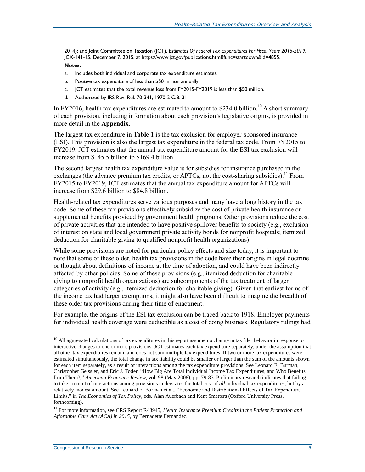2014); and Joint Committee on Taxation (JCT), *Estimates Of Federal Tax Expenditures For Fiscal Years 2015-2019*, JCX-141-15, December 7, 2015, at https://www.jct.gov/publications.html?func=startdown&id=4855.

#### **Notes:**

- <span id="page-7-0"></span>a. Includes both individual and corporate tax expenditure estimates.
- <span id="page-7-1"></span>b. Positive tax expenditure of less than \$50 million annually.
- <span id="page-7-2"></span>c. JCT estimates that the total revenue loss from FY2015-FY2019 is less than \$50 million.
- <span id="page-7-3"></span>d. Authorized by IRS Rev. Rul. 70-341, 1970-2 C.B. 31.

In FY2016, health tax expenditures are estimated to amount to  $$234.0$  billion.<sup>10</sup> A short summary of each provision, including information about each provision's legislative origins, is provided in more detail in the **[Appendix](#page-13-0)**.

The largest tax expenditure in **[Table 1](#page-6-0)** is the tax exclusion for employer-sponsored insurance (ESI). This provision is also the largest tax expenditure in the federal tax code. From FY2015 to FY2019, JCT estimates that the annual tax expenditure amount for the ESI tax exclusion will increase from \$145.5 billion to \$169.4 billion.

The second largest health tax expenditure value is for subsidies for insurance purchased in the exchanges (the advance premium tax credits, or APTCs, not the cost-sharing subsidies).<sup>11</sup> From FY2015 to FY2019, JCT estimates that the annual tax expenditure amount for APTCs will increase from \$29.6 billion to \$84.8 billion.

Health-related tax expenditures serve various purposes and many have a long history in the tax code. Some of these tax provisions effectively subsidize the cost of private health insurance or supplemental benefits provided by government health programs. Other provisions reduce the cost of private activities that are intended to have positive spillover benefits to society (e.g., exclusion of interest on state and local government private activity bonds for nonprofit hospitals; itemized deduction for charitable giving to qualified nonprofit health organizations).

While some provisions are noted for particular policy effects and size today, it is important to note that some of these older, health tax provisions in the code have their origins in legal doctrine or thought about definitions of income at the time of adoption, and could have been indirectly affected by other policies. Some of these provisions (e.g., itemized deduction for charitable giving to nonprofit health organizations) are subcomponents of the tax treatment of larger categories of activity (e.g., itemized deduction for charitable giving). Given that earliest forms of the income tax had larger exemptions, it might also have been difficult to imagine the breadth of these older tax provisions during their time of enactment.

For example, the origins of the ESI tax exclusion can be traced back to 1918. Employer payments for individual health coverage were deductible as a cost of doing business. Regulatory rulings had

<sup>&</sup>lt;sup>10</sup> All aggregated calculations of tax expenditures in this report assume no change in tax filer behavior in response to interactive changes to one or more provisions. JCT estimates each tax expenditure separately, under the assumption that all other tax expenditures remain, and does not sum multiple tax expenditures. If two or more tax expenditures were estimated simultaneously, the total change in tax liability could be smaller or larger than the sum of the amounts shown for each item separately, as a result of interactions among the tax expenditure provisions. See Leonard E. Burman, Christopher Geissler, and Eric J. Toder, "How Big Are Total Individual Income Tax Expenditures, and Who Benefits from Them?," *American Economic Review*, vol. 98 (May 2008), pp. 79-83. Preliminary research indicates that failing to take account of interactions among provisions understates the total cost of *all* individual tax expenditures, but by a relatively modest amount. See Leonard E. Burman et al., "Economic and Distributional Effects of Tax Expenditure Limits," in *The Economics of Tax Policy*, eds. Alan Auerbach and Kent Smetters (Oxford University Press, forthcoming).

<sup>&</sup>lt;sup>11</sup> For more information, see CRS Report R43945, *Health Insurance Premium Credits in the Patient Protection and Affordable Care Act (ACA) in 2015*, by Bernadette Fernandez.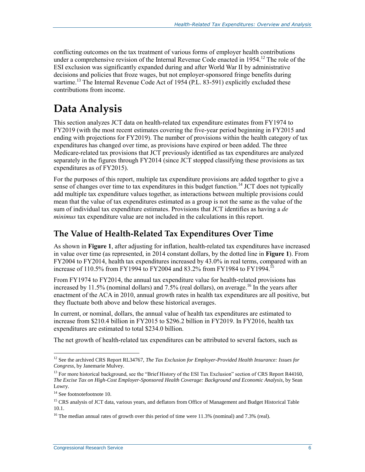conflicting outcomes on the tax treatment of various forms of employer health contributions under a comprehensive revision of the Internal Revenue Code enacted in 1954.<sup>12</sup> The role of the ESI exclusion was significantly expanded during and after World War II by administrative decisions and policies that froze wages, but not employer-sponsored fringe benefits during wartime.<sup>13</sup> The Internal Revenue Code Act of 1954 (P.L. 83-591) explicitly excluded these contributions from income.

## **Data Analysis**

This section analyzes JCT data on health-related tax expenditure estimates from FY1974 to FY2019 (with the most recent estimates covering the five-year period beginning in FY2015 and ending with projections for FY2019). The number of provisions within the health category of tax expenditures has changed over time, as provisions have expired or been added. The three Medicare-related tax provisions that JCT previously identified as tax expenditures are analyzed separately in the figures through FY2014 (since JCT stopped classifying these provisions as tax expenditures as of FY2015).

For the purposes of this report, multiple tax expenditure provisions are added together to give a sense of changes over time to tax expenditures in this budget function.<sup>14</sup> JCT does not typically add multiple tax expenditure values together, as interactions between multiple provisions could mean that the value of tax expenditures estimated as a group is not the same as the value of the sum of individual tax expenditure estimates. Provisions that JCT identifies as having a *de minimus* tax expenditure value are not included in the calculations in this report.

### **The Value of Health-Related Tax Expenditures Over Time**

As shown in **[Figure 1](#page-9-0)**, after adjusting for inflation, health-related tax expenditures have increased in value over time (as represented, in 2014 constant dollars, by the dotted line in **[Figure 1](#page-9-0)**). From FY2004 to FY2014, health tax expenditures increased by 43.0% in real terms, compared with an increase of 110.5% from FY1994 to FY2004 and 83.2% from FY1984 to FY1994.<sup>15</sup>

From FY1974 to FY2014, the annual tax expenditure value for health-related provisions has increased by 11.5% (nominal dollars) and  $7.5%$  (real dollars), on average.<sup>16</sup> In the years after enactment of the ACA in 2010, annual growth rates in health tax expenditures are all positive, but they fluctuate both above and below these historical averages.

In current, or nominal, dollars, the annual value of health tax expenditures are estimated to increase from \$210.4 billion in FY2015 to \$296.2 billion in FY2019. In FY2016, health tax expenditures are estimated to total \$234.0 billion.

The net growth of health-related tax expenditures can be attributed to several factors, such as

 $\overline{a}$ <sup>12</sup> See the archived CRS Report RL34767, *The Tax Exclusion for Employer-Provided Health Insurance: Issues for Congress*, by Janemarie Mulvey.

<sup>&</sup>lt;sup>13</sup> For more historical background, see the "Brief History of the ESI Tax Exclusion" section of CRS Report R44160, *The Excise Tax on High-Cost Employer-Sponsored Health Coverage: Background and Economic Analysis*, by Sean Lowry.

<sup>&</sup>lt;sup>14</sup> See footnotefootnot[e 10.](#page-7-3)

<sup>&</sup>lt;sup>15</sup> CRS analysis of JCT data, various years, and deflators from Office of Management and Budget Historical Table 10.1.

<sup>&</sup>lt;sup>16</sup> The median annual rates of growth over this period of time were 11.3% (nominal) and 7.3% (real).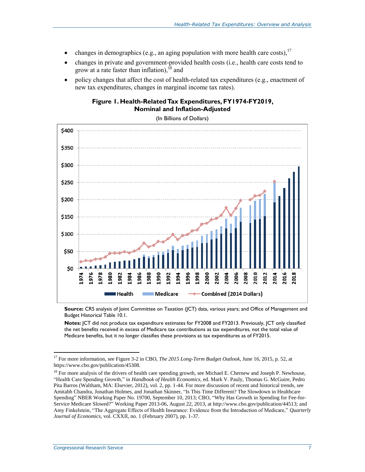- changes in demographics (e.g., an aging population with more health care costs),  $17$
- changes in private and government-provided health costs (i.e., health care costs tend to grow at a rate faster than inflation),  $18$  and
- <span id="page-9-0"></span> policy changes that affect the cost of health-related tax expenditures (e.g., enactment of new tax expenditures, changes in marginal income tax rates).

#### **Figure 1. Health-Related Tax Expenditures, FY1974-FY2019, Nominal and Inflation-Adjusted**

(In Billions of Dollars)



**Source:** CRS analysis of Joint Committee on Taxation (JCT) data, various years; and Office of Management and Budget Historical Table 10.1.

**Notes:** JCT did not produce tax expenditure estimates for FY2008 and FY2013. Previously, JCT only classified the net benefits received in excess of Medicare tax contributions as tax expenditures, not the total value of Medicare benefits, but it no longer classifies these provisions as tax expenditures as of FY2015.

<sup>17</sup> For more information, see Figure 3-2 in CBO, *The 2015 Long-Term Budget Outlook*, June 16, 2015, p. 52, at https://www.cbo.gov/publication/45308.

<sup>&</sup>lt;sup>18</sup> For more analysis of the drivers of health care spending growth, see Michael E. Chernew and Joseph P. Newhouse, "Health Care Spending Growth," in *Handbook of Health Economics*, ed. Mark V. Pauly, Thomas G. McGuire, Pedro Pita Barros (Waltham, MA: Elsevier, 2012), vol. 2, pp. 1-44. For more discussion of recent and historical trends, see Amitabh Chandra, Jonathan Holmes, and Jonathan Skinner, "Is This Time Different? The Slowdown in Healthcare Spending" NBER Working Paper No. 19700, September 10, 2013; CBO, "Why Has Growth in Spending for Fee-for-Service Medicare Slowed?" Working Paper 2013-06, August 22, 2013, at http://www.cbo.gov/publication/44513; and Amy Finkelstein, "The Aggregate Effects of Health Insurance: Evidence from the Introduction of Medicare," *Quarterly Journal of Economics*, vol. CXXII, no. 1 (February 2007), pp. 1-37.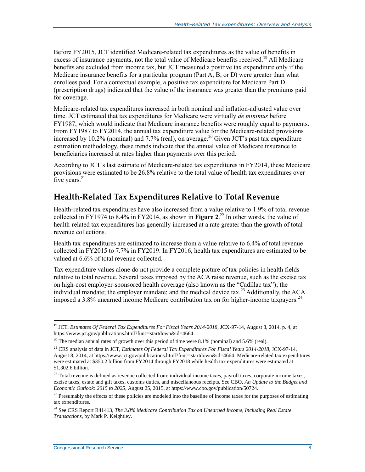Before FY2015, JCT identified Medicare-related tax expenditures as the value of benefits in excess of insurance payments, not the total value of Medicare benefits received.<sup>19</sup> All Medicare benefits are excluded from income tax, but JCT measured a positive tax expenditure only if the Medicare insurance benefits for a particular program (Part A, B, or D) were greater than what enrollees paid. For a contextual example, a positive tax expenditure for Medicare Part D (prescription drugs) indicated that the value of the insurance was greater than the premiums paid for coverage.

Medicare-related tax expenditures increased in both nominal and inflation-adjusted value over time. JCT estimated that tax expenditures for Medicare were virtually *de minimus* before FY1987, which would indicate that Medicare insurance benefits were roughly equal to payments. From FY1987 to FY2014, the annual tax expenditure value for the Medicare-related provisions increased by 10.2% (nominal) and 7.7% (real), on average.<sup>20</sup> Given JCT's past tax expenditure estimation methodology, these trends indicate that the annual value of Medicare insurance to beneficiaries increased at rates higher than payments over this period.

According to JCT's last estimate of Medicare-related tax expenditures in FY2014, these Medicare provisions were estimated to be 26.8% relative to the total value of health tax expenditures over five years. $21$ 

### **Health-Related Tax Expenditures Relative to Total Revenue**

Health-related tax expenditures have also increased from a value relative to 1.9% of total revenue collected in FY1974 to 8.4% in FY2014, as shown in **[Figure 2](#page-11-0)**. <sup>22</sup> In other words, the value of health-related tax expenditures has generally increased at a rate greater than the growth of total revenue collections.

Health tax expenditures are estimated to increase from a value relative to 6.4% of total revenue collected in FY2015 to 7.7% in FY2019. In FY2016, health tax expenditures are estimated to be valued at 6.6% of total revenue collected.

Tax expenditure values alone do not provide a complete picture of tax policies in health fields relative to total revenue. Several taxes imposed by the ACA raise revenue, such as the excise tax on high-cost employer-sponsored health coverage (also known as the "Cadillac tax"); the individual mandate; the employer mandate; and the medical device tax.<sup>23</sup> Additionally, the ACA imposed a 3.8% unearned income Medicare contribution tax on for higher-income taxpayers.<sup>24</sup>

<sup>19</sup> JCT, *Estimates Of Federal Tax Expenditures For Fiscal Years 2014-2018*, JCX-97-14, August 8, 2014, p. 4, at https://www.jct.gov/publications.html?func=startdown&id=4664.

 $20$  The median annual rates of growth over this period of time were 8.1% (nominal) and 5.6% (real).

<sup>21</sup> CRS analysis of data in JCT, *Estimates Of Federal Tax Expenditures For Fiscal Years 2014-2018*, JCX-97-14, August 8, 2014, at https://www.jct.gov/publications.html?func=startdown&id=4664. Medicare-related tax expenditures were estimated at \$350.2 billion from FY2014 through FY2018 while health tax expenditures were estimated at \$1,302.6 billion.

 $22$  Total revenue is defined as revenue collected from: individual income taxes, payroll taxes, corporate income taxes, excise taxes, estate and gift taxes, customs duties, and miscellaneous receipts. See CBO, *An Update to the Budget and Economic Outlook: 2015 to 2025*, August 25, 2015, at https://www.cbo.gov/publication/50724.

 $23$  Presumably the effects of these policies are modeled into the baseline of income taxes for the purposes of estimating tax expenditures.

<sup>24</sup> See CRS Report R41413, *The 3.8% Medicare Contribution Tax on Unearned Income, Including Real Estate Transactions*, by Mark P. Keightley.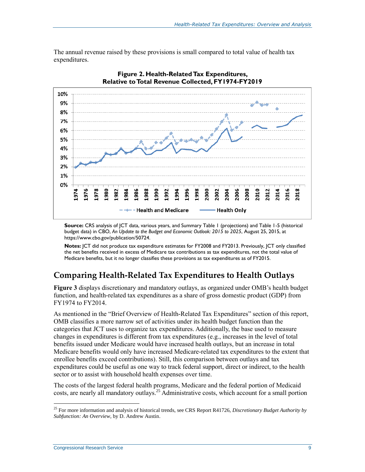

<span id="page-11-0"></span>

**Figure 2. Health-Related Tax Expenditures,** 

**Source:** CRS analysis of JCT data, various years, and Summary Table 1 (projections) and Table 1-5 (historical budget data) in CBO, *An Update to the Budget and Economic Outlook: 2015 to 2025*, August 25, 2015, at https://www.cbo.gov/publication/50724.

**Notes:** JCT did not produce tax expenditure estimates for FY2008 and FY2013. Previously, JCT only classified the net benefits received in excess of Medicare tax contributions as tax expenditures, not the total value of Medicare benefits, but it no longer classifies these provisions as tax expenditures as of FY2015.

### **Comparing Health-Related Tax Expenditures to Health Outlays**

**[Figure 3](#page-12-0)** displays discretionary and mandatory outlays, as organized under OMB's health budget function, and health-related tax expenditures as a share of gross domestic product (GDP) from FY1974 to FY2014.

As mentioned in the ["Brief Overview of Health-Related Tax Expenditures"](#page-5-0) section of this report, OMB classifies a more narrow set of activities under its health budget function than the categories that JCT uses to organize tax expenditures. Additionally, the base used to measure changes in expenditures is different from tax expenditures (e.g., increases in the level of total benefits issued under Medicare would have increased health outlays, but an increase in total Medicare benefits would only have increased Medicare-related tax expenditures to the extent that enrollee benefits exceed contributions). Still, this comparison between outlays and tax expenditures could be useful as one way to track federal support, direct or indirect, to the health sector or to assist with household health expenses over time.

The costs of the largest federal health programs, Medicare and the federal portion of Medicaid costs, are nearly all mandatory outlays.<sup>25</sup> Administrative costs, which account for a small portion

<sup>25</sup> For more information and analysis of historical trends, see CRS Report R41726, *Discretionary Budget Authority by Subfunction: An Overview*, by D. Andrew Austin.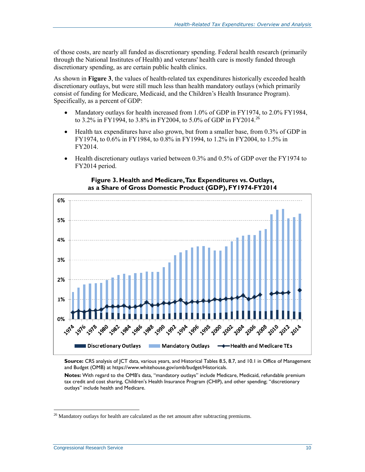of those costs, are nearly all funded as discretionary spending. Federal health research (primarily through the National Institutes of Health) and veterans' health care is mostly funded through discretionary spending, as are certain public health clinics.

As shown in **[Figure 3](#page-12-0)**, the values of health-related tax expenditures historically exceeded health discretionary outlays, but were still much less than health mandatory outlays (which primarily consist of funding for Medicare, Medicaid, and the Children's Health Insurance Program). Specifically, as a percent of GDP:

- Mandatory outlays for health increased from 1.0% of GDP in FY1974, to 2.0% FY1984, to 3.2% in FY1994, to 3.8% in FY2004, to 5.0% of GDP in FY2014.<sup>26</sup>
- Health tax expenditures have also grown, but from a smaller base, from 0.3% of GDP in FY1974, to 0.6% in FY1984, to 0.8% in FY1994, to 1.2% in FY2004, to 1.5% in FY2014.
- Health discretionary outlays varied between 0.3% and 0.5% of GDP over the FY1974 to FY2014 period.

<span id="page-12-0"></span>

#### **Figure 3. Health and Medicare, Tax Expenditures vs. Outlays, as a Share of Gross Domestic Product (GDP), FY1974-FY2014**

**Source:** CRS analysis of JCT data, various years, and Historical Tables 8.5, 8.7, and 10.1 in Office of Management and Budget (OMB) at https://www.whitehouse.gov/omb/budget/Historicals.

**Notes:** With regard to the OMB's data, "mandatory outlays" include Medicare, Medicaid, refundable premium tax credit and cost sharing, Children's Health Insurance Program (CHIP), and other spending; "discretionary outlays" include health and Medicare.

 $26$  Mandatory outlays for health are calculated as the net amount after subtracting premiums.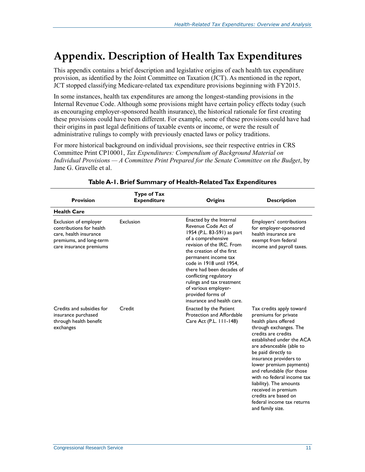## <span id="page-13-0"></span>**Appendix. Description of Health Tax Expenditures**

This appendix contains a brief description and legislative origins of each health tax expenditure provision, as identified by the Joint Committee on Taxation (JCT). As mentioned in the report, JCT stopped classifying Medicare-related tax expenditure provisions beginning with FY2015.

In some instances, health tax expenditures are among the longest-standing provisions in the Internal Revenue Code. Although some provisions might have certain policy effects today (such as encouraging employer-sponsored health insurance), the historical rationale for first creating these provisions could have been different. For example, some of these provisions could have had their origins in past legal definitions of taxable events or income, or were the result of administrative rulings to comply with previously enacted laws or policy traditions.

For more historical background on individual provisions, see their respective entries in CRS Committee Print CP10001, *Tax Expenditures: Compendium of Background Material on Individual Provisions — A Committee Print Prepared for the Senate Committee on the Budget*, by Jane G. Gravelle et al.

| <b>Provision</b>                                                                                                                  | Type of Tax<br><b>Expenditure</b> | Origins                                                                                                                                                                                                                                                                                                                                                                         | <b>Description</b>                                                                                                                                                                                                                                                                                                                                                                                                                                    |
|-----------------------------------------------------------------------------------------------------------------------------------|-----------------------------------|---------------------------------------------------------------------------------------------------------------------------------------------------------------------------------------------------------------------------------------------------------------------------------------------------------------------------------------------------------------------------------|-------------------------------------------------------------------------------------------------------------------------------------------------------------------------------------------------------------------------------------------------------------------------------------------------------------------------------------------------------------------------------------------------------------------------------------------------------|
| <b>Health Care</b>                                                                                                                |                                   |                                                                                                                                                                                                                                                                                                                                                                                 |                                                                                                                                                                                                                                                                                                                                                                                                                                                       |
| Exclusion of employer<br>contributions for health<br>care, health insurance<br>premiums, and long-term<br>care insurance premiums | Exclusion                         | Enacted by the Internal<br>Revenue Code Act of<br>1954 (P.L. 83-591) as part<br>of a comprehensive<br>revision of the IRC. From<br>the creation of the first<br>permanent income tax<br>code in 1918 until 1954,<br>there had been decades of<br>conflicting regulatory<br>rulings and tax treatment<br>of various employer-<br>provided forms of<br>insurance and health care. | Employers' contributions<br>for employer-sponsored<br>health insurance are<br>exempt from federal<br>income and payroll taxes.                                                                                                                                                                                                                                                                                                                        |
| Credits and subsidies for<br>insurance purchased<br>through health benefit<br>exchanges                                           | Credit                            | <b>Enacted by the Patient</b><br>Protection and Affordable<br>Care Act (P.L. 111-148)                                                                                                                                                                                                                                                                                           | Tax credits apply toward<br>premiums for private<br>health plans offered<br>through exchanges. The<br>credits are credits<br>established under the ACA<br>are advanceable (able to<br>be paid directly to<br>insurance providers to<br>lower premium payments)<br>and refundable (for those<br>with no federal income tax<br>liability). The amounts<br>received in premium<br>credits are based on<br>federal income tax returns<br>and family size. |

#### **Table A-1. Brief Summary of Health-Related Tax Expenditures**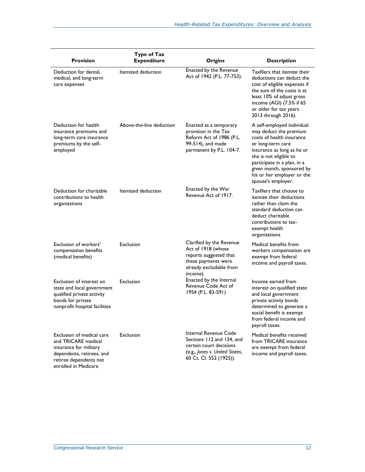| <b>Provision</b>                                                                                                                                          | <b>Type of Tax</b><br><b>Expenditure</b> | <b>Origins</b>                                                                                                                             | <b>Description</b>                                                                                                                                                                                                                                                             |
|-----------------------------------------------------------------------------------------------------------------------------------------------------------|------------------------------------------|--------------------------------------------------------------------------------------------------------------------------------------------|--------------------------------------------------------------------------------------------------------------------------------------------------------------------------------------------------------------------------------------------------------------------------------|
| Deduction for dental,<br>medical, and long-term<br>care expenses                                                                                          | Itemized deduction                       | Enacted by the Revenue<br>Act of 1942 (P.L. 77-753).                                                                                       | Taxfilers that itemize their<br>deductions can deduct the<br>cost of eligible expenses if<br>the sum of the costs is at<br>least 10% of adjust gross<br>income (AGI) (7.5% if 65<br>or older for tax years<br>2013 through 2016).                                              |
| Deduction for health<br>insurance premiums and<br>long-term care insurance<br>premiums by the self-<br>employed                                           | Above-the-line deduction                 | Enacted as a temporary<br>provision in the Tax<br>Reform Act of 1986 (P.L.<br>99-514), and made<br>permanent by P.L. 104-7.                | A self-employed individual<br>may deduct the premium<br>costs of health insurance<br>or long-term care<br>insurance as long as he or<br>she is not eligible to<br>participate in a plan, in a<br>given month, sponsored by<br>his or her employer or the<br>spouse's employer. |
| Deduction for charitable<br>contributions to health<br>organizations                                                                                      | Itemized deduction                       | Enacted by the War<br>Revenue Act of 1917.                                                                                                 | Taxfilers that choose to<br>itemize their deductions<br>rather than claim the<br>standard deduction can<br>deduct charitable<br>contributions to tax-<br>exempt health<br>organizations                                                                                        |
| Exclusion of workers'<br>compensation benefits<br>(medical benefits)                                                                                      | Exclusion                                | Clarified by the Revenue<br>Act of 1918 (whose<br>reports suggested that<br>these payments were<br>already excludable from<br>income).     | Medical benefits from<br>workers compensation are<br>exempt from federal<br>income and payroll taxes.                                                                                                                                                                          |
| Exclusion of interest on<br>state and local government<br>qualified private activity<br>bonds for private<br>nonprofit hospital facilities                | Exclusion                                | Enacted by the Internal<br>Revenue Code Act of<br>1954 (P.L. 83-591)                                                                       | Income earned from<br>interest on qualified state<br>and local government<br>private activity bonds<br>determined to generate a<br>social benefit is exempt<br>from federal income and<br>payroll taxes.                                                                       |
| Exclusion of medical care<br>and TRICARE medical<br>insurance for military<br>dependents, retirees, and<br>retiree dependents not<br>enrolled in Medicare | Exclusion                                | Internal Revenue Code<br>Sections 112 and 134, and<br>certain court decisions<br>(e.g., Jones v. United States,<br>60 Ct. Cl. 552 (1925)). | Medical benefits received<br>from TRICARE insurance<br>are exempt from federal<br>income and payroll taxes.                                                                                                                                                                    |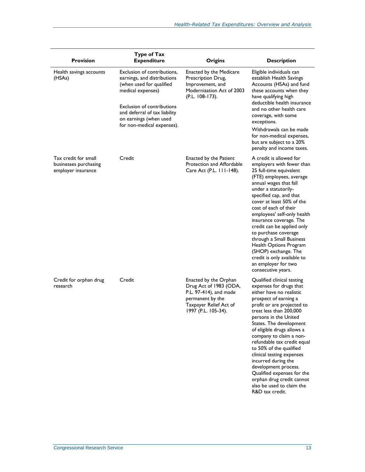| <b>Provision</b>                                                    | Type of Tax<br><b>Expenditure</b>                                                                                                                                                                                                         | <b>Origins</b>                                                                                                                                 | <b>Description</b>                                                                                                                                                                                                                                                                                                                                                                                                                                                                                                                |
|---------------------------------------------------------------------|-------------------------------------------------------------------------------------------------------------------------------------------------------------------------------------------------------------------------------------------|------------------------------------------------------------------------------------------------------------------------------------------------|-----------------------------------------------------------------------------------------------------------------------------------------------------------------------------------------------------------------------------------------------------------------------------------------------------------------------------------------------------------------------------------------------------------------------------------------------------------------------------------------------------------------------------------|
| Health savings accounts<br>(HSAs)                                   | Exclusion of contributions,<br>earnings, and distributions<br>(when used for qualified<br>medical expenses)<br><b>Exclusion of contributions</b><br>and deferral of tax liability<br>on earnings (when used<br>for non-medical expenses). | <b>Enacted by the Medicare</b><br>Prescription Drug,<br>Improvement, and<br>Modernization Act of 2003<br>(P.L. 108-173).                       | Eligible individuals can<br>establish Health Savings<br>Accounts (HSAs) and fund<br>these accounts when they<br>have qualifying high<br>deductible health insurance<br>and no other health care<br>coverage, with some<br>exceptions.<br>Withdrawals can be made                                                                                                                                                                                                                                                                  |
|                                                                     |                                                                                                                                                                                                                                           |                                                                                                                                                | for non-medical expenses,<br>but are subject to a 20%<br>penalty and income taxes.                                                                                                                                                                                                                                                                                                                                                                                                                                                |
| Tax credit for small<br>businesses purchasing<br>employer insurance | Credit                                                                                                                                                                                                                                    | <b>Enacted by the Patient</b><br>Protection and Affordable<br>Care Act (P.L. 111-148).                                                         | A credit is allowed for<br>employers with fewer than<br>25 full-time equivalent<br>(FTE) employees, average<br>annual wages that fall<br>under a statutorily-<br>specified cap, and that<br>cover at least 50% of the<br>cost of each of their<br>employees' self-only health<br>insurance coverage. The<br>credit can be applied only<br>to purchase coverage<br>through a Small Business<br>Health Options Program<br>(SHOP) exchange. The<br>credit is only available to<br>an employer for two<br>consecutive years.          |
| Credit for orphan drug<br>research                                  | Credit                                                                                                                                                                                                                                    | Enacted by the Orphan<br>Drug Act of 1983 (ODA,<br>P.L. 97-414), and made<br>permanent by the<br>Taxpayer Relief Act of<br>1997 (P.L. 105-34). | Qualified clinical testing<br>expenses for drugs that<br>either have no realistic<br>prospect of earning a<br>profit or are projected to<br>treat less than 200,000<br>persons in the United<br>States. The development<br>of eligible drugs allows a<br>company to claim a non-<br>refundable tax credit equal<br>to 50% of the qualified<br>clinical testing expenses<br>incurred during the<br>development process.<br>Qualified expenses for the<br>orphan drug credit cannot<br>also be used to claim the<br>R&D tax credit. |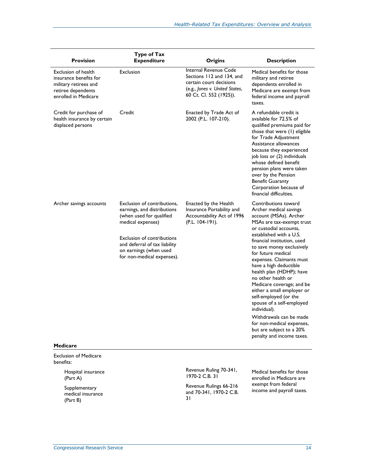| <b>Provision</b>                                                                                                            | <b>Type of Tax</b><br><b>Expenditure</b>                                                                                                                                                                                                  | <b>Origins</b>                                                                                                                                    | <b>Description</b>                                                                                                                                                                                                                                                                                                                                                                                                                                                                                                                                                                                     |
|-----------------------------------------------------------------------------------------------------------------------------|-------------------------------------------------------------------------------------------------------------------------------------------------------------------------------------------------------------------------------------------|---------------------------------------------------------------------------------------------------------------------------------------------------|--------------------------------------------------------------------------------------------------------------------------------------------------------------------------------------------------------------------------------------------------------------------------------------------------------------------------------------------------------------------------------------------------------------------------------------------------------------------------------------------------------------------------------------------------------------------------------------------------------|
| <b>Exclusion of health</b><br>insurance benefits for<br>military retirees and<br>retiree dependents<br>enrolled in Medicare | Exclusion                                                                                                                                                                                                                                 | <b>Internal Revenue Code</b><br>Sections 112 and 134, and<br>certain court decisions<br>(e.g., Jones v. United States,<br>60 Ct. Cl. 552 (1925)). | Medical benefits for those<br>military and retiree<br>dependents enrolled in<br>Medicare are exempt from<br>federal income and payroll<br>taxes.                                                                                                                                                                                                                                                                                                                                                                                                                                                       |
| Credit for purchase of<br>health insurance by certain<br>displaced persons                                                  | Credit                                                                                                                                                                                                                                    | Enacted by Trade Act of<br>2002 (P.L. 107-210).                                                                                                   | A refundable credit is<br>available for 72.5% of<br>qualified premiums paid for<br>those that were (1) eligible<br>for Trade Adjustment<br>Assistance allowances<br>because they experienced<br>job loss or (2) individuals<br>whose defined benefit<br>pension plans were taken<br>over by the Pension<br><b>Benefit Guaranty</b><br>Corporation because of<br>financial difficulties.                                                                                                                                                                                                                |
| Archer savings accounts<br><b>Medicare</b>                                                                                  | Exclusion of contributions,<br>earnings, and distributions<br>(when used for qualified<br>medical expenses)<br><b>Exclusion of contributions</b><br>and deferral of tax liability<br>on earnings (when used<br>for non-medical expenses). | Enacted by the Health<br>Insurance Portability and<br>Accountability Act of 1996<br>$(P.L. 104-191).$                                             | Contributions toward<br>Archer medical savings<br>account (MSAs). Archer<br>MSAs are tax-exempt trust<br>or custodial accounts,<br>established with a U.S.<br>financial institution, used<br>to save money exclusively<br>for future medical<br>expenses. Claimants must<br>have a high deductible<br>health plan (HDHP); have<br>no other health or<br>Medicare coverage; and be<br>either a small employer or<br>self-employed (or the<br>spouse of a self-employed<br>individual).<br>Withdrawals can be made<br>for non-medical expenses,<br>but are subject to a 20%<br>penalty and income taxes. |
| <b>Exclusion of Medicare</b>                                                                                                |                                                                                                                                                                                                                                           |                                                                                                                                                   |                                                                                                                                                                                                                                                                                                                                                                                                                                                                                                                                                                                                        |
| benefits:<br>Hospital insurance                                                                                             |                                                                                                                                                                                                                                           | Revenue Ruling 70-341,<br>1970-2 C.B. 31                                                                                                          | Medical benefits for those<br>enrolled in Medicare are                                                                                                                                                                                                                                                                                                                                                                                                                                                                                                                                                 |
| (Part A)<br>Supplementary<br>medical insurance<br>(Part B)                                                                  |                                                                                                                                                                                                                                           | Revenue Rulings 66-216<br>and 70-341, 1970-2 C.B.<br>31                                                                                           | exempt from federal<br>income and payroll taxes.                                                                                                                                                                                                                                                                                                                                                                                                                                                                                                                                                       |